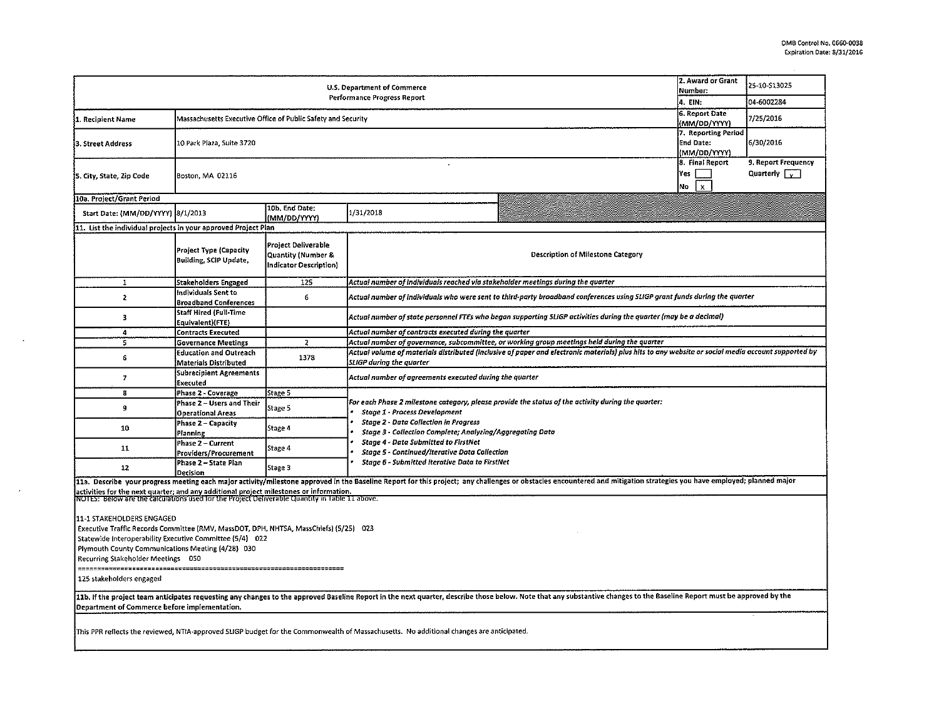|                                                                                                                                                                                                                                                                                                                                                                                                                                                                                                                                                    | 2. Award or Grant<br>Number:<br>4. EIN:                      | 25 10 S13025<br>04-6002284                                          |                                                                                                                                                                                                                                                                                                                                                                                                                                                   |                                              |                                             |  |  |  |  |  |  |
|----------------------------------------------------------------------------------------------------------------------------------------------------------------------------------------------------------------------------------------------------------------------------------------------------------------------------------------------------------------------------------------------------------------------------------------------------------------------------------------------------------------------------------------------------|--------------------------------------------------------------|---------------------------------------------------------------------|---------------------------------------------------------------------------------------------------------------------------------------------------------------------------------------------------------------------------------------------------------------------------------------------------------------------------------------------------------------------------------------------------------------------------------------------------|----------------------------------------------|---------------------------------------------|--|--|--|--|--|--|
| 1. Recipient Name                                                                                                                                                                                                                                                                                                                                                                                                                                                                                                                                  | Massachusetts Executive Office of Public Safety and Security | <b>6. Report Date</b><br>(MM/DD/YYYY)                               | 7/25/2016                                                                                                                                                                                                                                                                                                                                                                                                                                         |                                              |                                             |  |  |  |  |  |  |
| 3. Street Address                                                                                                                                                                                                                                                                                                                                                                                                                                                                                                                                  | 10 Park Plaza, Suite 3720                                    | 7. Reporting Period<br><b>End Date:</b><br>(MM/DD/YYYY)             | 6/30/2016                                                                                                                                                                                                                                                                                                                                                                                                                                         |                                              |                                             |  |  |  |  |  |  |
| 5. City, State, Zip Code                                                                                                                                                                                                                                                                                                                                                                                                                                                                                                                           | Boston, MA 02116                                             |                                                                     |                                                                                                                                                                                                                                                                                                                                                                                                                                                   | 8. Final Report<br>Yes<br>$\mathbf{x}$<br>No | 9. Report Frequency<br>Quarterly $\sqrt{v}$ |  |  |  |  |  |  |
| 10a. Project/Grant Period                                                                                                                                                                                                                                                                                                                                                                                                                                                                                                                          |                                                              |                                                                     |                                                                                                                                                                                                                                                                                                                                                                                                                                                   |                                              |                                             |  |  |  |  |  |  |
| Start Date: (MM/DD/YYYY) 8/1/2013                                                                                                                                                                                                                                                                                                                                                                                                                                                                                                                  |                                                              | 10b. End Date:<br>(MM/DD/YYYY)                                      | 1/31/2018                                                                                                                                                                                                                                                                                                                                                                                                                                         |                                              |                                             |  |  |  |  |  |  |
| 11. List the individual projects in your approved Project Plan                                                                                                                                                                                                                                                                                                                                                                                                                                                                                     |                                                              |                                                                     |                                                                                                                                                                                                                                                                                                                                                                                                                                                   |                                              |                                             |  |  |  |  |  |  |
|                                                                                                                                                                                                                                                                                                                                                                                                                                                                                                                                                    | Project Type (Capacity<br><b>Building, SCIP Update,</b>      | Project Deliverable<br>Quantity (Number &<br>Indicator Description) | <b>Description of Milestone Category</b>                                                                                                                                                                                                                                                                                                                                                                                                          |                                              |                                             |  |  |  |  |  |  |
| 1                                                                                                                                                                                                                                                                                                                                                                                                                                                                                                                                                  | Stakeholders Engaged                                         | 125                                                                 | Actual number of individuals reached via stakeholder meetings during the quarter                                                                                                                                                                                                                                                                                                                                                                  |                                              |                                             |  |  |  |  |  |  |
| $\mathbf{2}$                                                                                                                                                                                                                                                                                                                                                                                                                                                                                                                                       | Individuals Sent to<br><b>Broadband Conferences</b>          | 6                                                                   | Actual number of individuals who were sent to third-party broadband conferences using SLIGP grant funds during the quarter                                                                                                                                                                                                                                                                                                                        |                                              |                                             |  |  |  |  |  |  |
| 3                                                                                                                                                                                                                                                                                                                                                                                                                                                                                                                                                  | <b>Staff Hired (Full-Time</b><br>Equivalent)(FTE)            |                                                                     | Actual number of state personnel FTEs who began supporting SLIGP activities during the quarter (may be a decimal)                                                                                                                                                                                                                                                                                                                                 |                                              |                                             |  |  |  |  |  |  |
| 4                                                                                                                                                                                                                                                                                                                                                                                                                                                                                                                                                  | <b>Contracts Executed</b>                                    |                                                                     | Actual number of contracts executed during the quarter                                                                                                                                                                                                                                                                                                                                                                                            |                                              |                                             |  |  |  |  |  |  |
| 5                                                                                                                                                                                                                                                                                                                                                                                                                                                                                                                                                  | <b>Governance Meetings</b>                                   | $\overline{2}$                                                      | Actual number of governance, subcommittee, or working group meetings held during the quarter                                                                                                                                                                                                                                                                                                                                                      |                                              |                                             |  |  |  |  |  |  |
| 6                                                                                                                                                                                                                                                                                                                                                                                                                                                                                                                                                  | Education and Outreach<br>Materials Distributed              | 1378                                                                | Actual volume of materials distributed (inclusive of paper and electronic materials) plus hits to any website or social media account supported by                                                                                                                                                                                                                                                                                                |                                              |                                             |  |  |  |  |  |  |
| $\overline{\phantom{a}}$                                                                                                                                                                                                                                                                                                                                                                                                                                                                                                                           | Subrecipient Agreements<br>Executed                          |                                                                     | SLIGP during the quarter<br>Actual number of agreements executed during the quarter                                                                                                                                                                                                                                                                                                                                                               |                                              |                                             |  |  |  |  |  |  |
| 8                                                                                                                                                                                                                                                                                                                                                                                                                                                                                                                                                  | Phase 2 - Coverage                                           | Stage 5                                                             |                                                                                                                                                                                                                                                                                                                                                                                                                                                   |                                              |                                             |  |  |  |  |  |  |
| 9                                                                                                                                                                                                                                                                                                                                                                                                                                                                                                                                                  | Phase 2 - Users and Their<br><b>Operational Areas</b>        | Stage 5                                                             | For each Phase 2 milestone category, please provide the status of the activity during the quarter:<br><b>Stage 1 - Process Development</b>                                                                                                                                                                                                                                                                                                        |                                              |                                             |  |  |  |  |  |  |
| 10                                                                                                                                                                                                                                                                                                                                                                                                                                                                                                                                                 | Phase 2 – Capacity<br>Planning                               | Stage 4                                                             | <b>Stage 2 - Data Collection in Progress</b><br>Stage 3 - Collection Complete; Analyzing/Aggregating Data<br>Stage 4 - Data Submitted to FirstNet<br>Stage 5 - Continued/Iterative Data Collection<br>Stage 6 - Submitted Iterative Data to FirstNet                                                                                                                                                                                              |                                              |                                             |  |  |  |  |  |  |
| 11                                                                                                                                                                                                                                                                                                                                                                                                                                                                                                                                                 | Phase 2 - Current<br>Providers/Procurement                   | Stage 4                                                             |                                                                                                                                                                                                                                                                                                                                                                                                                                                   |                                              |                                             |  |  |  |  |  |  |
| 12                                                                                                                                                                                                                                                                                                                                                                                                                                                                                                                                                 | Phase 2 - State Plan<br>Decision                             | Stage 3                                                             |                                                                                                                                                                                                                                                                                                                                                                                                                                                   |                                              |                                             |  |  |  |  |  |  |
| activities for the next quarter; and any additional project milestones or information.<br>NOTES: Below are the calculations used for the Project Deliverable Quantity in Table 11 above.<br>11-1 STAKEHOLDERS ENGAGED<br>Executive Traffic Records Committee (RMV, MassDOT, DPH, NHTSA, MassChiefs) (5/25) 023<br>Statewide Interoperability Executive Committee (5/4) 022<br>Plymouth County Communications Meeting (4/28) 030<br>Recurring Stakeholder Meetings 050<br>125 stakeholders engaged<br>Department of Commerce before implementation. |                                                              |                                                                     | 11a. Describe your progress meeting each major activity/milestone approved in the Baseline Report for this project; any challenges or obstacles encountered and mitigation strategies you have employed; planned major<br>11b. If the project team anticipates requesting any changes to the approved Baseline Report in the next quarter, describe those below. Note that any substantive changes to the Baseline Report must be approved by the |                                              |                                             |  |  |  |  |  |  |
|                                                                                                                                                                                                                                                                                                                                                                                                                                                                                                                                                    |                                                              |                                                                     | This PPR reflects the reviewed, NTIA-approved SLIGP budget for the Commonwealth of Massachusetts. No additional changes are anticipated.                                                                                                                                                                                                                                                                                                          |                                              |                                             |  |  |  |  |  |  |

 $\sim$ 

 $\sim$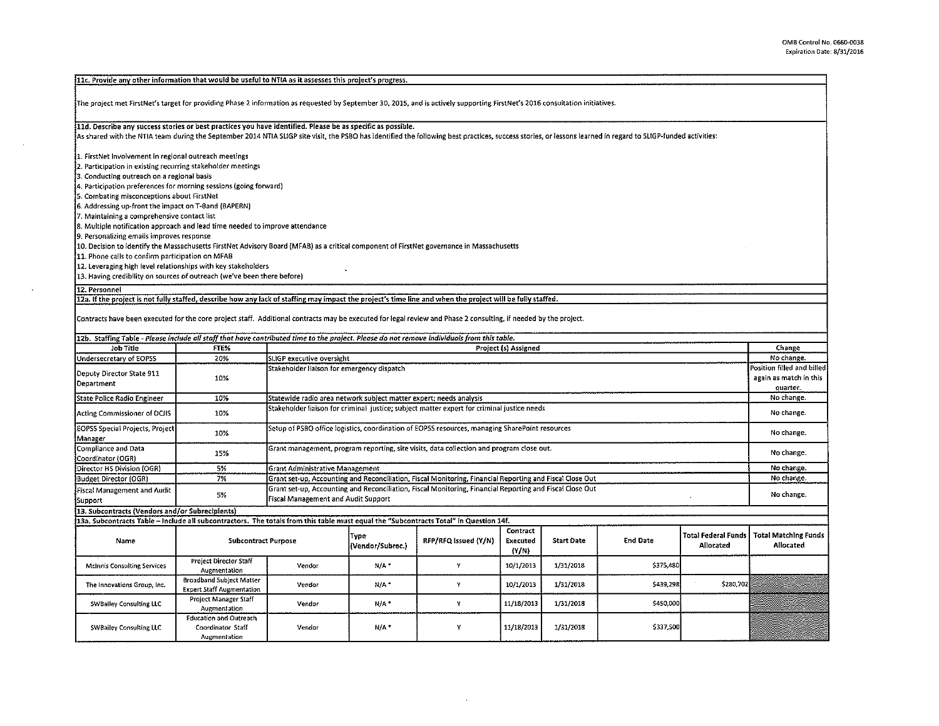| $\sf{11c}.$ Provide any other information that would be useful to NTIA as it assesses this project's progress.                                                                                                                                                                                                               |                                                                    |                                                                                                                                                          |                                                                                                                                                        |   |                      |           |                                          |           |                            |  |  |  |
|------------------------------------------------------------------------------------------------------------------------------------------------------------------------------------------------------------------------------------------------------------------------------------------------------------------------------|--------------------------------------------------------------------|----------------------------------------------------------------------------------------------------------------------------------------------------------|--------------------------------------------------------------------------------------------------------------------------------------------------------|---|----------------------|-----------|------------------------------------------|-----------|----------------------------|--|--|--|
| The project met FirstNet's target for providing Phase 2 information as requested by September 30, 2015, and is actively supporting FirstNet's 2016 consultation initiatives.                                                                                                                                                 |                                                                    |                                                                                                                                                          |                                                                                                                                                        |   |                      |           |                                          |           |                            |  |  |  |
| 11d. Describe any success stories or best practices you have identified. Please be as specific as possible.<br>As shared with the NTIA team during the September 2014 NTIA SLIGP site visit, the PSBO has identified the following best practices, success stories, or lessons learned in regard to SLIGP-funded activities: |                                                                    |                                                                                                                                                          |                                                                                                                                                        |   |                      |           |                                          |           |                            |  |  |  |
| 1. FirstNet Involvement in regional outreach meetings<br>2. Participation in existing recurring stakeholder meetings                                                                                                                                                                                                         |                                                                    |                                                                                                                                                          |                                                                                                                                                        |   |                      |           |                                          |           |                            |  |  |  |
| 3. Conducting outreach on a regional basis                                                                                                                                                                                                                                                                                   |                                                                    |                                                                                                                                                          |                                                                                                                                                        |   |                      |           |                                          |           |                            |  |  |  |
| 4. Participation preferences for morning sessions (going forward)                                                                                                                                                                                                                                                            |                                                                    |                                                                                                                                                          |                                                                                                                                                        |   |                      |           |                                          |           |                            |  |  |  |
| 5. Combating misconceptions about FirstNet                                                                                                                                                                                                                                                                                   |                                                                    |                                                                                                                                                          |                                                                                                                                                        |   |                      |           |                                          |           |                            |  |  |  |
| 6. Addressing up-front the impact on T-8and (BAPERN)                                                                                                                                                                                                                                                                         |                                                                    |                                                                                                                                                          |                                                                                                                                                        |   |                      |           |                                          |           |                            |  |  |  |
| 7. Maintaining a comprehensive contact list                                                                                                                                                                                                                                                                                  |                                                                    |                                                                                                                                                          |                                                                                                                                                        |   |                      |           |                                          |           |                            |  |  |  |
| 8. Multiple notification approach and lead time needed to improve attendance                                                                                                                                                                                                                                                 |                                                                    |                                                                                                                                                          |                                                                                                                                                        |   |                      |           |                                          |           |                            |  |  |  |
| 9. Personalizing emails improves response                                                                                                                                                                                                                                                                                    |                                                                    |                                                                                                                                                          |                                                                                                                                                        |   |                      |           |                                          |           |                            |  |  |  |
| 10. Decision to identify the Massachusetts FirstNet Advisory Board (MFAB) as a critical component of FirstNet governance in Massachusetts                                                                                                                                                                                    |                                                                    |                                                                                                                                                          |                                                                                                                                                        |   |                      |           |                                          |           |                            |  |  |  |
| 11. Phone calls to confirm participation on MFAB                                                                                                                                                                                                                                                                             |                                                                    |                                                                                                                                                          |                                                                                                                                                        |   |                      |           |                                          |           |                            |  |  |  |
| 12. Leveraging high level relationships with key stakeholders                                                                                                                                                                                                                                                                |                                                                    |                                                                                                                                                          |                                                                                                                                                        |   |                      |           |                                          |           |                            |  |  |  |
| 13. Having credibility on sources of outreach (we've been there before)                                                                                                                                                                                                                                                      |                                                                    |                                                                                                                                                          |                                                                                                                                                        |   |                      |           |                                          |           |                            |  |  |  |
|                                                                                                                                                                                                                                                                                                                              |                                                                    |                                                                                                                                                          |                                                                                                                                                        |   |                      |           |                                          |           |                            |  |  |  |
| 12. Personnel                                                                                                                                                                                                                                                                                                                |                                                                    |                                                                                                                                                          |                                                                                                                                                        |   |                      |           |                                          |           |                            |  |  |  |
| 12a. If the project is not fully staffed, describe how any lack of staffing may impact the project's time line and when the project will be fully staffed.                                                                                                                                                                   |                                                                    |                                                                                                                                                          |                                                                                                                                                        |   |                      |           |                                          |           |                            |  |  |  |
| Contracts have been executed for the core project staff. Additional contracts may be executed for legal review and Phase 2 consulting, if needed by the project.                                                                                                                                                             |                                                                    |                                                                                                                                                          |                                                                                                                                                        |   |                      |           |                                          |           |                            |  |  |  |
| 12b. Staffing Table - Please include all staff that have contributed time to the project. Please do not remove individuals from this table.                                                                                                                                                                                  |                                                                    |                                                                                                                                                          |                                                                                                                                                        |   |                      |           |                                          |           |                            |  |  |  |
| Job Title                                                                                                                                                                                                                                                                                                                    | FTE%                                                               |                                                                                                                                                          |                                                                                                                                                        |   | Project (s) Assigned |           |                                          |           | Change                     |  |  |  |
| Undersecretary of EOPSS                                                                                                                                                                                                                                                                                                      | 20%                                                                | SLIGP executive oversight                                                                                                                                |                                                                                                                                                        |   |                      |           |                                          |           | No change.                 |  |  |  |
|                                                                                                                                                                                                                                                                                                                              |                                                                    | Stakeholder liaison for emergency dispatch                                                                                                               |                                                                                                                                                        |   |                      |           |                                          |           | Position filled and billed |  |  |  |
| Deputy Director State 911<br>Department                                                                                                                                                                                                                                                                                      | 10%                                                                |                                                                                                                                                          |                                                                                                                                                        |   |                      |           |                                          |           | again as match in this     |  |  |  |
|                                                                                                                                                                                                                                                                                                                              |                                                                    |                                                                                                                                                          | quarter.<br>No change.                                                                                                                                 |   |                      |           |                                          |           |                            |  |  |  |
| State Police Radio Engineer                                                                                                                                                                                                                                                                                                  | 10%                                                                |                                                                                                                                                          | Statewide radio area network subject matter expert; needs analysis<br>No change.                                                                       |   |                      |           |                                          |           |                            |  |  |  |
| Acting Commissioner of DCJIS                                                                                                                                                                                                                                                                                                 | 10%                                                                |                                                                                                                                                          | Stakeholder liaison for criminal justice; subject matter expert for criminal justice needs                                                             |   |                      |           |                                          |           |                            |  |  |  |
| <b>EOPSS Special Projects, Project</b><br>Manager                                                                                                                                                                                                                                                                            | 10%                                                                |                                                                                                                                                          | Setup of PSBO office logistics, coordination of EOPSS resources, managing SharePoint resources                                                         |   |                      |           |                                          |           |                            |  |  |  |
| Compliance and Data<br>Coordinator (OGR)                                                                                                                                                                                                                                                                                     | 15%                                                                |                                                                                                                                                          | Grant management, program reporting, site visits, data collection and program close out.                                                               |   |                      |           |                                          |           |                            |  |  |  |
| Director HS Division (OGR)                                                                                                                                                                                                                                                                                                   | 5%                                                                 |                                                                                                                                                          | <b>Grant Administrative Management</b>                                                                                                                 |   |                      |           |                                          |           |                            |  |  |  |
| <b>Budget Director (OGR)</b>                                                                                                                                                                                                                                                                                                 | 7%                                                                 | Grant set-up, Accounting and Reconciliation, Fiscal Monitoring, Financial Reporting and Fiscal Close Out                                                 |                                                                                                                                                        |   |                      |           |                                          |           |                            |  |  |  |
| Fiscal Management and Audit<br>Support                                                                                                                                                                                                                                                                                       | 5%                                                                 |                                                                                                                                                          | Grant set-up, Accounting and Reconciliation, Fiscal Monitoring, Financial Reporting and Fiscal Close Out<br><b>Fiscal Management and Audit Support</b> |   |                      |           |                                          |           |                            |  |  |  |
| 13. Subcontracts (Vendors and/or Subrecipients)                                                                                                                                                                                                                                                                              |                                                                    |                                                                                                                                                          |                                                                                                                                                        |   |                      |           |                                          |           |                            |  |  |  |
| 13a. Subcontracts Table - Include all subcontractors. The totals from this table must equal the "Subcontracts Total" in Question 14f.                                                                                                                                                                                        |                                                                    |                                                                                                                                                          |                                                                                                                                                        |   |                      |           |                                          |           |                            |  |  |  |
|                                                                                                                                                                                                                                                                                                                              |                                                                    |                                                                                                                                                          |                                                                                                                                                        |   | Contract             |           |                                          |           |                            |  |  |  |
| Name                                                                                                                                                                                                                                                                                                                         | <b>Subcontract Purpose</b>                                         | <b>Total Federal Funds</b><br>Type<br><b>End Date</b><br>RFP/RFQ Issued (Y/N)<br>Executed<br><b>Start Date</b><br>(Vendor/Subrec.)<br>Allocated<br>(Y/N) |                                                                                                                                                        |   |                      |           | <b>Total Matching Funds</b><br>Allocated |           |                            |  |  |  |
| McInnis Consulting Services                                                                                                                                                                                                                                                                                                  | <b>Project Director Staff</b><br>Augmentation                      | Vendor                                                                                                                                                   | N/A*                                                                                                                                                   | γ | 10/1/2013            | 1/31/2018 | \$375,480                                |           |                            |  |  |  |
| The Innovations Group, Inc.                                                                                                                                                                                                                                                                                                  | Broadband Subject Matter<br><b>Expert Staff Augmentation</b>       | Vendor                                                                                                                                                   | N/A <sup>+</sup>                                                                                                                                       | Y | 10/1/2013            | 1/31/2018 | \$439,298                                | \$280,702 |                            |  |  |  |
| <b>SWBailey Consulting LLC</b>                                                                                                                                                                                                                                                                                               | Project Manager Staff<br>Augmentation                              | Vendor                                                                                                                                                   | N/A                                                                                                                                                    | Y | 11/18/2013           | 1/31/2018 | \$450,000                                |           |                            |  |  |  |
| SWBailey Consulting LLC                                                                                                                                                                                                                                                                                                      | <b>Education and Outreach</b><br>Coordinator Staff<br>Augmentation | Vendor                                                                                                                                                   | N/A                                                                                                                                                    | Y | 11/18/2013           | 1/31/2018 | \$337,500                                |           |                            |  |  |  |

 $\sim$   $\sim$ 

 $\sim$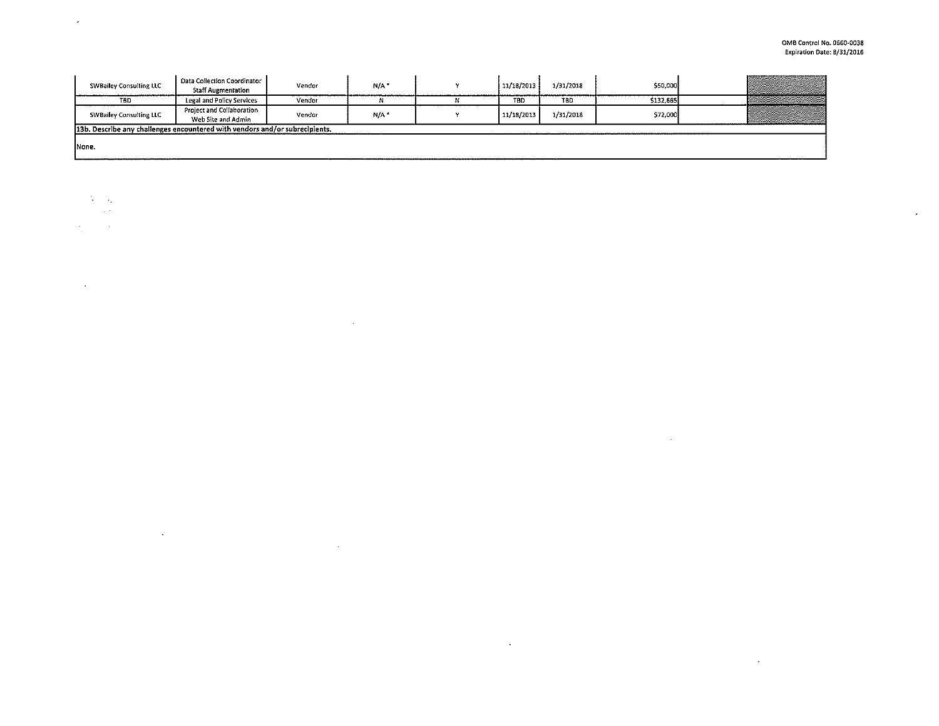$\mathcal{L}^{\text{max}}_{\text{max}}$  , where  $\mathcal{L}^{\text{max}}_{\text{max}}$ 

 $\sim$ 

 $\epsilon$ 

| <b>SWBailey Consulting LLC</b>                                                | Data Collection Coordinator<br><b>Staff Augmentation</b> | Vendor | N/A <sup>*</sup> |  | 11/18/2013 | 1/31/2018  | \$50,000  |  |
|-------------------------------------------------------------------------------|----------------------------------------------------------|--------|------------------|--|------------|------------|-----------|--|
| TBD                                                                           | Legal and Policy Services                                | Vendor |                  |  | TBD        | <b>TBD</b> | \$132,665 |  |
| <b>SWBailey Consulting LLC</b>                                                | Project and Collaboration<br>Web Site and Admin          | Vendor | N/A*             |  | 11/18/2013 | 1/31/2018  | \$72,000  |  |
| [13b. Describe any challenges encountered with vendors and/or subrecipients.] |                                                          |        |                  |  |            |            |           |  |
| None.                                                                         |                                                          |        |                  |  |            |            |           |  |

 $\sim$ 

 $\mathcal{L}^{\mathcal{L}}$  ,  $\mathcal{L}^{\mathcal{L}}$  ,  $\mathcal{L}^{\mathcal{L}}$ 

 $\sim 10^7$ 

 $N \sim 10$ 

 $\Delta_{\rm{max}}$  and  $\Delta_{\rm{max}}$ 

 $\Delta \sim 10^{11}$ 

 $\mathcal{L}^{\text{max}}_{\text{max}}$